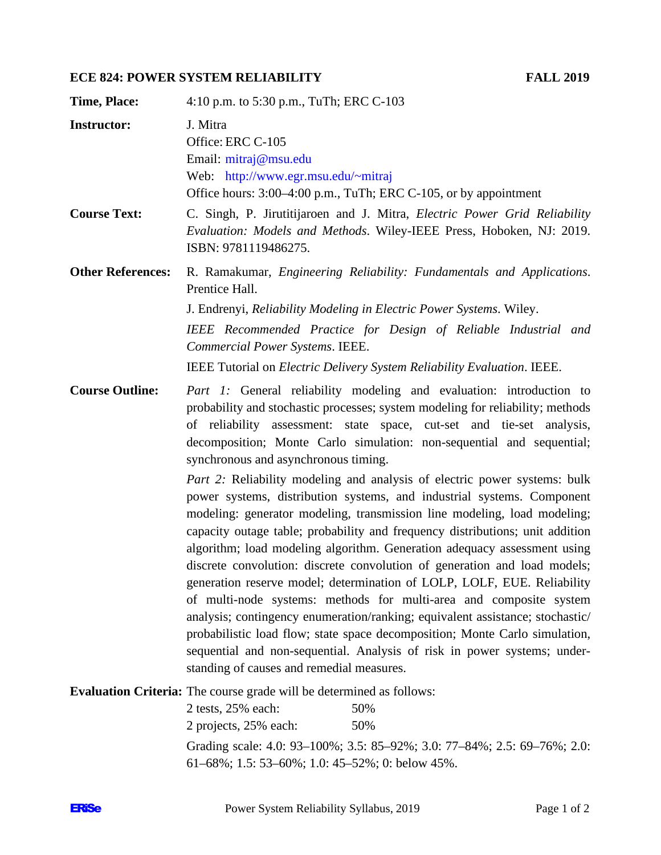## **ECE 824: POWER SYSTEM RELIABILITY FALL 2019**

| <b>Time, Place:</b>      | 4:10 p.m. to 5:30 p.m., TuTh; ERC C-103                                                                                                                                                                                                                                                                                                                                                                                                                                                                                                                                                                                                                                                                                                                                                                                                                                                                                                                                                                                                                                                                                                                                                                                                                                        |  |
|--------------------------|--------------------------------------------------------------------------------------------------------------------------------------------------------------------------------------------------------------------------------------------------------------------------------------------------------------------------------------------------------------------------------------------------------------------------------------------------------------------------------------------------------------------------------------------------------------------------------------------------------------------------------------------------------------------------------------------------------------------------------------------------------------------------------------------------------------------------------------------------------------------------------------------------------------------------------------------------------------------------------------------------------------------------------------------------------------------------------------------------------------------------------------------------------------------------------------------------------------------------------------------------------------------------------|--|
| <b>Instructor:</b>       | J. Mitra<br>Office: ERC C-105<br>Email: mitraj@msu.edu<br>Web: http://www.egr.msu.edu/~mitraj<br>Office hours: 3:00–4:00 p.m., TuTh; ERC C-105, or by appointment                                                                                                                                                                                                                                                                                                                                                                                                                                                                                                                                                                                                                                                                                                                                                                                                                                                                                                                                                                                                                                                                                                              |  |
| <b>Course Text:</b>      | C. Singh, P. Jirutitijaroen and J. Mitra, <i>Electric Power Grid Reliability</i><br>Evaluation: Models and Methods. Wiley-IEEE Press, Hoboken, NJ: 2019.<br>ISBN: 9781119486275.                                                                                                                                                                                                                                                                                                                                                                                                                                                                                                                                                                                                                                                                                                                                                                                                                                                                                                                                                                                                                                                                                               |  |
| <b>Other References:</b> | R. Ramakumar, <i>Engineering Reliability: Fundamentals and Applications</i> .<br>Prentice Hall.<br>J. Endrenyi, Reliability Modeling in Electric Power Systems. Wiley.<br>IEEE Recommended Practice for Design of Reliable Industrial and<br>Commercial Power Systems. IEEE.<br>IEEE Tutorial on <i>Electric Delivery System Reliability Evaluation</i> . IEEE.                                                                                                                                                                                                                                                                                                                                                                                                                                                                                                                                                                                                                                                                                                                                                                                                                                                                                                                |  |
| <b>Course Outline:</b>   | Part 1: General reliability modeling and evaluation: introduction to<br>probability and stochastic processes; system modeling for reliability; methods<br>of reliability assessment: state space, cut-set and tie-set analysis,<br>decomposition; Monte Carlo simulation: non-sequential and sequential;<br>synchronous and asynchronous timing.<br><i>Part 2:</i> Reliability modeling and analysis of electric power systems: bulk<br>power systems, distribution systems, and industrial systems. Component<br>modeling: generator modeling, transmission line modeling, load modeling;<br>capacity outage table; probability and frequency distributions; unit addition<br>algorithm; load modeling algorithm. Generation adequacy assessment using<br>discrete convolution: discrete convolution of generation and load models;<br>generation reserve model; determination of LOLP, LOLF, EUE. Reliability<br>of multi-node systems: methods for multi-area and composite system<br>analysis; contingency enumeration/ranking; equivalent assistance; stochastic/<br>probabilistic load flow; state space decomposition; Monte Carlo simulation,<br>sequential and non-sequential. Analysis of risk in power systems; under-<br>standing of causes and remedial measures. |  |
|                          | <b>Evaluation Criteria:</b> The course grade will be determined as follows:                                                                                                                                                                                                                                                                                                                                                                                                                                                                                                                                                                                                                                                                                                                                                                                                                                                                                                                                                                                                                                                                                                                                                                                                    |  |

| 2 projects, 25% each:                               | 50%                                                                                        |
|-----------------------------------------------------|--------------------------------------------------------------------------------------------|
|                                                     | Grading scale: $4.0: 93-100\%$ ; $3.5: 85-92\%$ ; $3.0: 77-84\%$ ; $2.5: 69-76\%$ ; $2.0:$ |
| $61-68\%$ ; 1.5: 53-60%; 1.0: 45-52%; 0: below 45%. |                                                                                            |

2 tests, 25% each: 50%